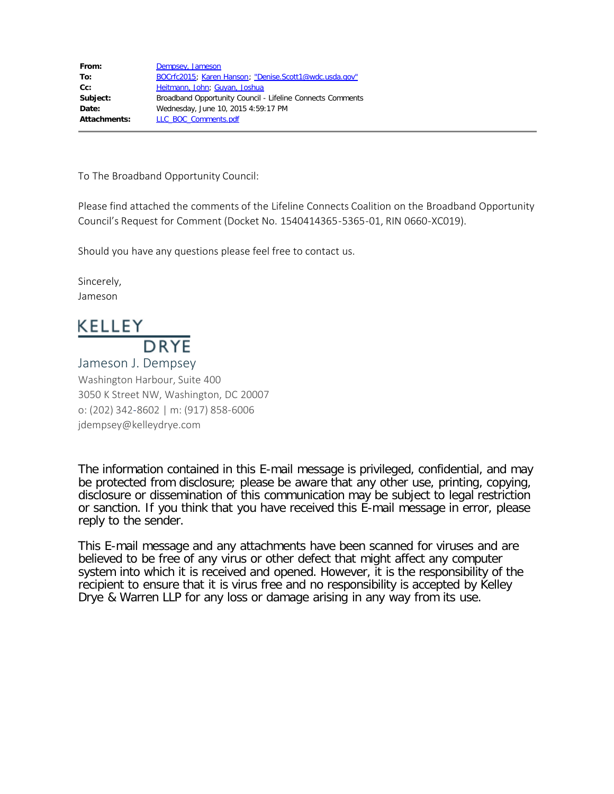| Dempsey, Jameson                                           |
|------------------------------------------------------------|
| BOCrfc2015; Karen Hanson; "Denise.Scott1@wdc.usda.gov"     |
| Heitmann, John; Guyan, Joshua                              |
| Broadband Opportunity Council - Lifeline Connects Comments |
| Wednesday, June 10, 2015 4:59:17 PM                        |
| LLC BOC Comments.pdf                                       |
|                                                            |

To The Broadband Opportunity Council:

Please find attached the comments of the Lifeline Connects Coalition on the Broadband Opportunity Council's Request for Comment (Docket No. 1540414365-5365-01, RIN 0660-XC019).

Should you have any questions please feel free to contact us.

Sincerely, Jameson

# KELLEY **DRYE**

Jameson J. Dempsey Washington Harbour, Suite 400 3050 K Street NW, Washington, DC 20007 o: (202) 342-8602 | m: (917) 858-6006 jdempsey@kelleydrye.com

The information contained in this E-mail message is privileged, confidential, and may be protected from disclosure; please be aware that any other use, printing, copying, disclosure or dissemination of this communication may be subject to legal restriction or sanction. If you think that you have received this E-mail message in error, please reply to the sender.

This E-mail message and any attachments have been scanned for viruses and are believed to be free of any virus or other defect that might affect any computer system into which it is received and opened. However, it is the responsibility of the recipient to ensure that it is virus free and no responsibility is accepted by Kelley Drye & Warren LLP for any loss or damage arising in any way from its use.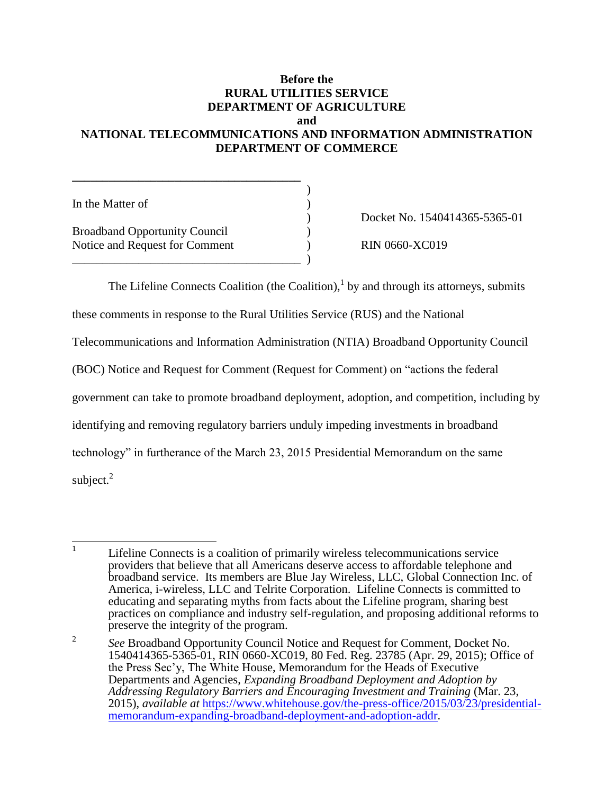## **Before the RURAL UTILITIES SERVICE DEPARTMENT OF AGRICULTURE and**

## **NATIONAL TELECOMMUNICATIONS AND INFORMATION ADMINISTRATION DEPARTMENT OF COMMERCE**

| In the Matter of                                                       |  |
|------------------------------------------------------------------------|--|
| <b>Broadband Opportunity Council</b><br>Notice and Request for Comment |  |
|                                                                        |  |

**\_\_\_\_\_\_\_\_\_\_\_\_\_\_\_\_\_\_\_\_\_\_\_\_\_\_\_\_\_\_\_\_\_\_\_\_\_\_**

) Docket No. 1540414365-5365-01

 $N = RIN 0660-XC019$ 

The Lifeline Connects Coalition (the Coalition), $<sup>1</sup>$  by and through its attorneys, submits</sup>

these comments in response to the Rural Utilities Service (RUS) and the National

Telecommunications and Information Administration (NTIA) Broadband Opportunity Council

(BOC) Notice and Request for Comment (Request for Comment) on "actions the federal

government can take to promote broadband deployment, adoption, and competition, including by

identifying and removing regulatory barriers unduly impeding investments in broadband

technology" in furtherance of the March 23, 2015 Presidential Memorandum on the same

subject. $2$ 

 $\frac{1}{1}$ Lifeline Connects is a coalition of primarily wireless telecommunications service providers that believe that all Americans deserve access to affordable telephone and broadband service. Its members are Blue Jay Wireless, LLC, Global Connection Inc. of America, i-wireless, LLC and Telrite Corporation. Lifeline Connects is committed to educating and separating myths from facts about the Lifeline program, sharing best practices on compliance and industry self-regulation, and proposing additional reforms to preserve the integrity of the program.

<sup>2</sup> *See* Broadband Opportunity Council Notice and Request for Comment, Docket No. 1540414365-5365-01, RIN 0660-XC019, 80 Fed. Reg. 23785 (Apr. 29, 2015); Office of the Press Sec'y, The White House, Memorandum for the Heads of Executive Departments and Agencies, *Expanding Broadband Deployment and Adoption by Addressing Regulatory Barriers and Encouraging Investment and Training* (Mar. 23, 2015), *available at* [https://www.whitehouse.gov/the-press-office/2015/03/23/presidential](https://www.whitehouse.gov/the-press-office/2015/03/23/presidential-memorandum-expanding-broadband-deployment-and-adoption-addr)[memorandum-expanding-broadband-deployment-and-adoption-addr.](https://www.whitehouse.gov/the-press-office/2015/03/23/presidential-memorandum-expanding-broadband-deployment-and-adoption-addr)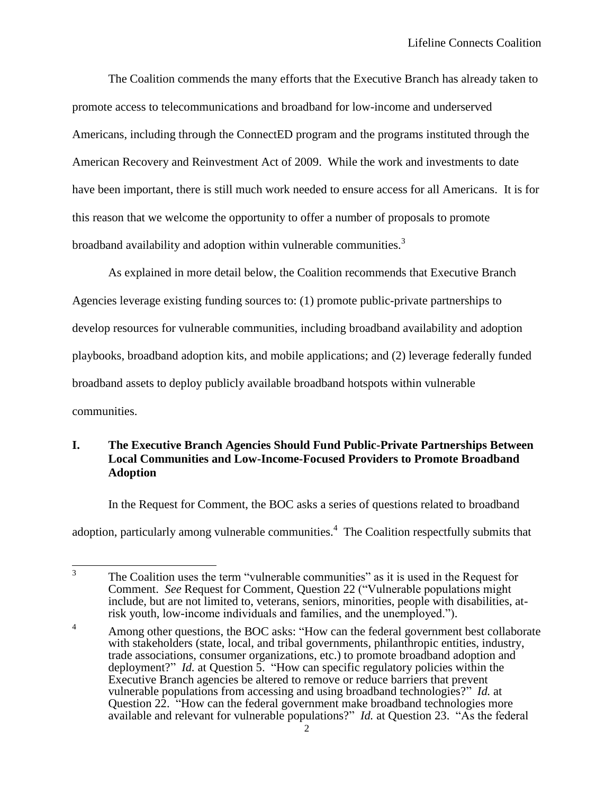The Coalition commends the many efforts that the Executive Branch has already taken to promote access to telecommunications and broadband for low-income and underserved Americans, including through the ConnectED program and the programs instituted through the American Recovery and Reinvestment Act of 2009. While the work and investments to date have been important, there is still much work needed to ensure access for all Americans. It is for this reason that we welcome the opportunity to offer a number of proposals to promote broadband availability and adoption within vulnerable communities.<sup>3</sup>

As explained in more detail below, the Coalition recommends that Executive Branch Agencies leverage existing funding sources to: (1) promote public-private partnerships to develop resources for vulnerable communities, including broadband availability and adoption playbooks, broadband adoption kits, and mobile applications; and (2) leverage federally funded broadband assets to deploy publicly available broadband hotspots within vulnerable communities.

### **I. The Executive Branch Agencies Should Fund Public-Private Partnerships Between Local Communities and Low-Income-Focused Providers to Promote Broadband Adoption**

In the Request for Comment, the BOC asks a series of questions related to broadband adoption, particularly among vulnerable communities.<sup>4</sup> The Coalition respectfully submits that

 $\frac{1}{3}$ The Coalition uses the term "vulnerable communities" as it is used in the Request for Comment. *See* Request for Comment, Question 22 ("Vulnerable populations might include, but are not limited to, veterans, seniors, minorities, people with disabilities, atrisk youth, low-income individuals and families, and the unemployed.").

<sup>&</sup>lt;sup>4</sup> Among other questions, the BOC asks: "How can the federal government best collaborate with stakeholders (state, local, and tribal governments, philanthropic entities, industry, trade associations, consumer organizations, etc.) to promote broadband adoption and deployment?" *Id.* at Question 5. "How can specific regulatory policies within the Executive Branch agencies be altered to remove or reduce barriers that prevent vulnerable populations from accessing and using broadband technologies?" *Id.* at Question 22. "How can the federal government make broadband technologies more available and relevant for vulnerable populations?" *Id.* at Question 23. "As the federal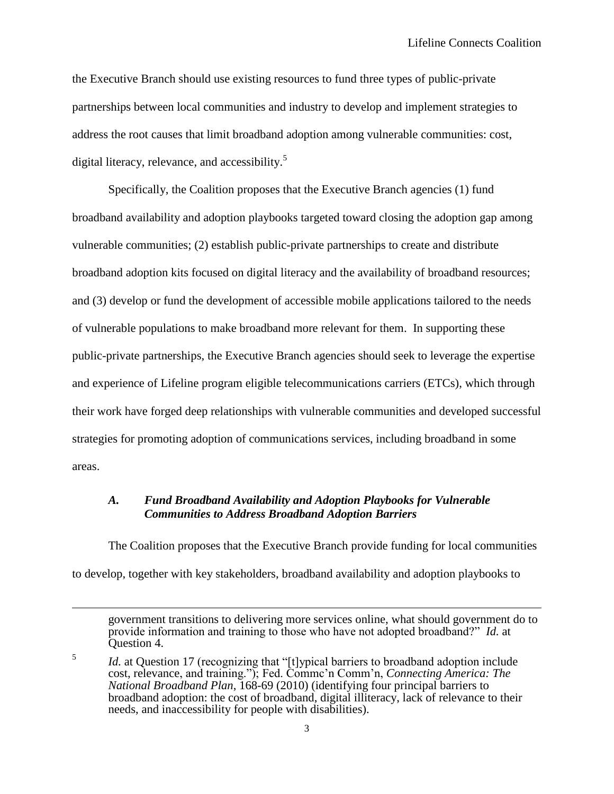the Executive Branch should use existing resources to fund three types of public-private partnerships between local communities and industry to develop and implement strategies to address the root causes that limit broadband adoption among vulnerable communities: cost, digital literacy, relevance, and accessibility.<sup>5</sup>

Specifically, the Coalition proposes that the Executive Branch agencies (1) fund broadband availability and adoption playbooks targeted toward closing the adoption gap among vulnerable communities; (2) establish public-private partnerships to create and distribute broadband adoption kits focused on digital literacy and the availability of broadband resources; and (3) develop or fund the development of accessible mobile applications tailored to the needs of vulnerable populations to make broadband more relevant for them. In supporting these public-private partnerships, the Executive Branch agencies should seek to leverage the expertise and experience of Lifeline program eligible telecommunications carriers (ETCs), which through their work have forged deep relationships with vulnerable communities and developed successful strategies for promoting adoption of communications services, including broadband in some areas.

#### *A. Fund Broadband Availability and Adoption Playbooks for Vulnerable Communities to Address Broadband Adoption Barriers*

The Coalition proposes that the Executive Branch provide funding for local communities to develop, together with key stakeholders, broadband availability and adoption playbooks to

 $\overline{a}$ 

government transitions to delivering more services online, what should government do to provide information and training to those who have not adopted broadband?" *Id.* at Question 4.

<sup>5</sup> *Id.* at Question 17 (recognizing that "[t]ypical barriers to broadband adoption include cost, relevance, and training."); Fed. Commc'n Comm'n, *Connecting America: The National Broadband Plan*, 168-69 (2010) (identifying four principal barriers to broadband adoption: the cost of broadband, digital illiteracy, lack of relevance to their needs, and inaccessibility for people with disabilities).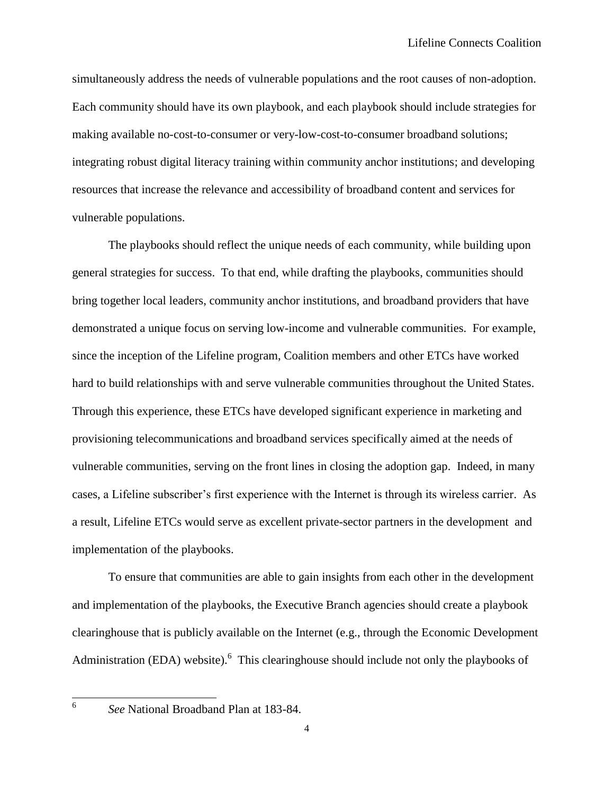simultaneously address the needs of vulnerable populations and the root causes of non-adoption. Each community should have its own playbook, and each playbook should include strategies for making available no-cost-to-consumer or very-low-cost-to-consumer broadband solutions; integrating robust digital literacy training within community anchor institutions; and developing resources that increase the relevance and accessibility of broadband content and services for vulnerable populations.

The playbooks should reflect the unique needs of each community, while building upon general strategies for success. To that end, while drafting the playbooks, communities should bring together local leaders, community anchor institutions, and broadband providers that have demonstrated a unique focus on serving low-income and vulnerable communities. For example, since the inception of the Lifeline program, Coalition members and other ETCs have worked hard to build relationships with and serve vulnerable communities throughout the United States. Through this experience, these ETCs have developed significant experience in marketing and provisioning telecommunications and broadband services specifically aimed at the needs of vulnerable communities, serving on the front lines in closing the adoption gap. Indeed, in many cases, a Lifeline subscriber's first experience with the Internet is through its wireless carrier. As a result, Lifeline ETCs would serve as excellent private-sector partners in the development and implementation of the playbooks.

To ensure that communities are able to gain insights from each other in the development and implementation of the playbooks, the Executive Branch agencies should create a playbook clearinghouse that is publicly available on the Internet (e.g., through the Economic Development Administration (EDA) website). <sup>6</sup> This clearinghouse should include not only the playbooks of

6

*See* National Broadband Plan at 183-84.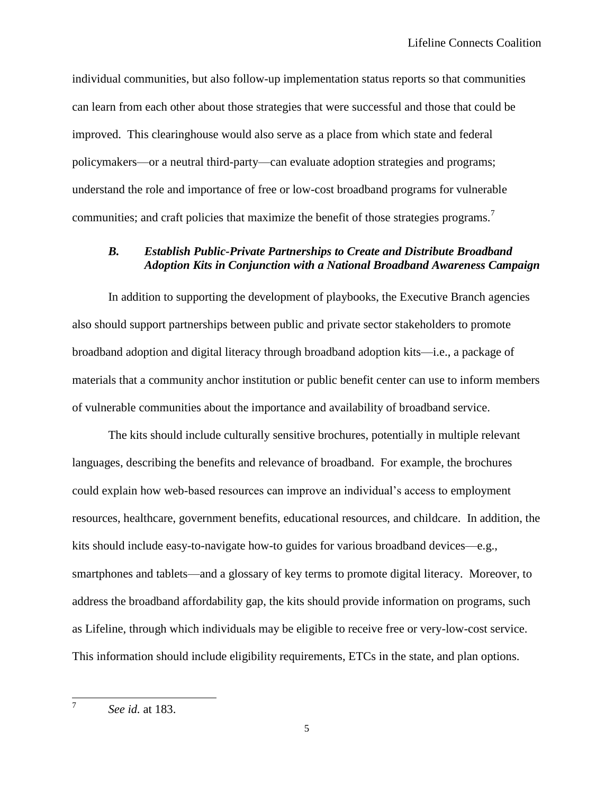individual communities, but also follow-up implementation status reports so that communities can learn from each other about those strategies that were successful and those that could be improved. This clearinghouse would also serve as a place from which state and federal policymakers—or a neutral third-party—can evaluate adoption strategies and programs; understand the role and importance of free or low-cost broadband programs for vulnerable communities; and craft policies that maximize the benefit of those strategies programs.<sup>7</sup>

#### *B. Establish Public-Private Partnerships to Create and Distribute Broadband Adoption Kits in Conjunction with a National Broadband Awareness Campaign*

In addition to supporting the development of playbooks, the Executive Branch agencies also should support partnerships between public and private sector stakeholders to promote broadband adoption and digital literacy through broadband adoption kits—i.e., a package of materials that a community anchor institution or public benefit center can use to inform members of vulnerable communities about the importance and availability of broadband service.

The kits should include culturally sensitive brochures, potentially in multiple relevant languages, describing the benefits and relevance of broadband. For example, the brochures could explain how web-based resources can improve an individual's access to employment resources, healthcare, government benefits, educational resources, and childcare. In addition, the kits should include easy-to-navigate how-to guides for various broadband devices—e.g., smartphones and tablets—and a glossary of key terms to promote digital literacy. Moreover, to address the broadband affordability gap, the kits should provide information on programs, such as Lifeline, through which individuals may be eligible to receive free or very-low-cost service. This information should include eligibility requirements, ETCs in the state, and plan options.

7

*See id.* at 183.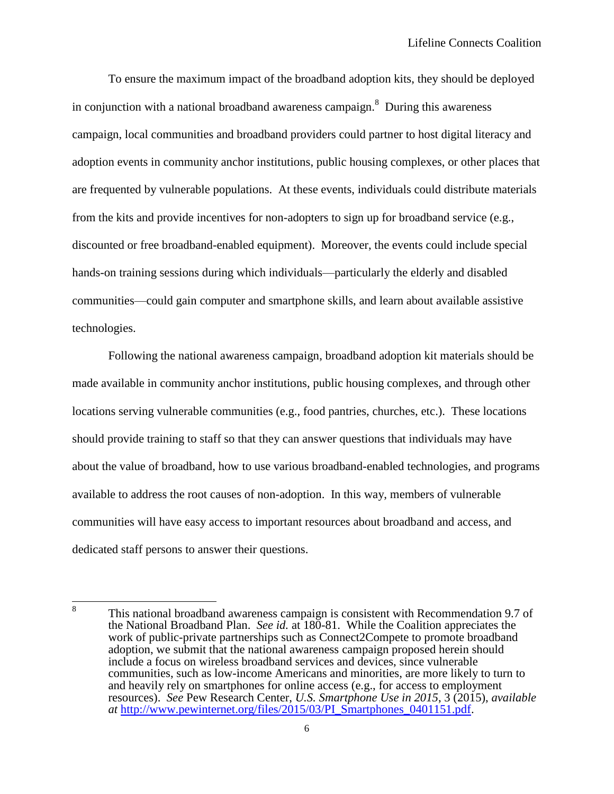To ensure the maximum impact of the broadband adoption kits, they should be deployed in conjunction with a national broadband awareness campaign. $^8$  During this awareness campaign, local communities and broadband providers could partner to host digital literacy and adoption events in community anchor institutions, public housing complexes, or other places that are frequented by vulnerable populations. At these events, individuals could distribute materials from the kits and provide incentives for non-adopters to sign up for broadband service (e.g., discounted or free broadband-enabled equipment). Moreover, the events could include special hands-on training sessions during which individuals—particularly the elderly and disabled communities—could gain computer and smartphone skills, and learn about available assistive technologies.

Following the national awareness campaign, broadband adoption kit materials should be made available in community anchor institutions, public housing complexes, and through other locations serving vulnerable communities (e.g., food pantries, churches, etc.). These locations should provide training to staff so that they can answer questions that individuals may have about the value of broadband, how to use various broadband-enabled technologies, and programs available to address the root causes of non-adoption. In this way, members of vulnerable communities will have easy access to important resources about broadband and access, and dedicated staff persons to answer their questions.

 8 This national broadband awareness campaign is consistent with Recommendation 9.7 of the National Broadband Plan. *See id.* at 180-81. While the Coalition appreciates the work of public-private partnerships such as Connect2Compete to promote broadband adoption, we submit that the national awareness campaign proposed herein should include a focus on wireless broadband services and devices, since vulnerable communities, such as low-income Americans and minorities, are more likely to turn to and heavily rely on smartphones for online access (e.g., for access to employment resources). *See* Pew Research Center, *U.S. Smartphone Use in 2015*, 3 (2015), *available at* [http://www.pewinternet.org/files/2015/03/PI\\_Smartphones\\_0401151.pdf.](http://www.pewinternet.org/files/2015/03/PI_Smartphones_0401151.pdf)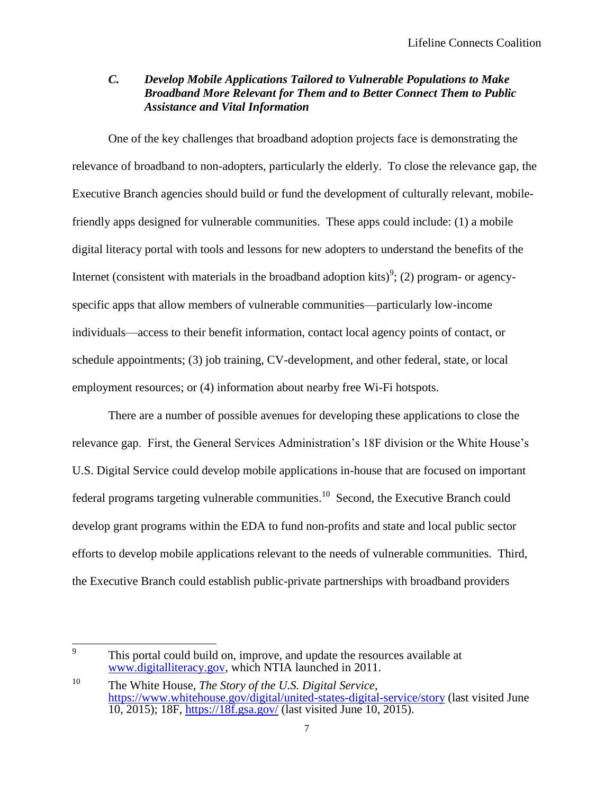### *C. Develop Mobile Applications Tailored to Vulnerable Populations to Make Broadband More Relevant for Them and to Better Connect Them to Public Assistance and Vital Information*

One of the key challenges that broadband adoption projects face is demonstrating the relevance of broadband to non-adopters, particularly the elderly. To close the relevance gap, the Executive Branch agencies should build or fund the development of culturally relevant, mobilefriendly apps designed for vulnerable communities. These apps could include: (1) a mobile digital literacy portal with tools and lessons for new adopters to understand the benefits of the Internet (consistent with materials in the broadband adoption kits)<sup>9</sup>; (2) program- or agencyspecific apps that allow members of vulnerable communities—particularly low-income individuals—access to their benefit information, contact local agency points of contact, or schedule appointments; (3) job training, CV-development, and other federal, state, or local employment resources; or (4) information about nearby free Wi-Fi hotspots.

There are a number of possible avenues for developing these applications to close the relevance gap. First, the General Services Administration's 18F division or the White House's U.S. Digital Service could develop mobile applications in-house that are focused on important federal programs targeting vulnerable communities.<sup>10</sup> Second, the Executive Branch could develop grant programs within the EDA to fund non-profits and state and local public sector efforts to develop mobile applications relevant to the needs of vulnerable communities. Third, the Executive Branch could establish public-private partnerships with broadband providers

 9 This portal could build on, improve, and update the resources available at [www.digitalliteracy.gov,](http://www.digitalliteracy.gov/) which NTIA launched in 2011.

<sup>10</sup> The White House, *The Story of the U.S. Digital Service*, <https://www.whitehouse.gov/digital/united-states-digital-service/story> (last visited June 10, 2015); 18F,<https://18f.gsa.gov/> (last visited June 10, 2015).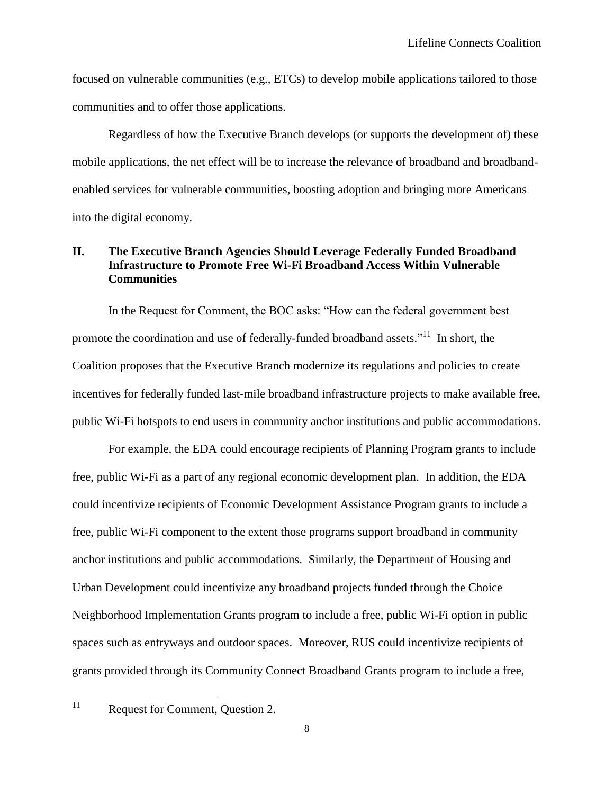focused on vulnerable communities (e.g., ETCs) to develop mobile applications tailored to those communities and to offer those applications.

Regardless of how the Executive Branch develops (or supports the development of) these mobile applications, the net effect will be to increase the relevance of broadband and broadbandenabled services for vulnerable communities, boosting adoption and bringing more Americans into the digital economy.

#### **II. The Executive Branch Agencies Should Leverage Federally Funded Broadband Infrastructure to Promote Free Wi-Fi Broadband Access Within Vulnerable Communities**

In the Request for Comment, the BOC asks: "How can the federal government best promote the coordination and use of federally-funded broadband assets."<sup>11</sup> In short, the Coalition proposes that the Executive Branch modernize its regulations and policies to create incentives for federally funded last-mile broadband infrastructure projects to make available free, public Wi-Fi hotspots to end users in community anchor institutions and public accommodations.

For example, the EDA could encourage recipients of Planning Program grants to include free, public Wi-Fi as a part of any regional economic development plan. In addition, the EDA could incentivize recipients of Economic Development Assistance Program grants to include a free, public Wi-Fi component to the extent those programs support broadband in community anchor institutions and public accommodations. Similarly, the Department of Housing and Urban Development could incentivize any broadband projects funded through the Choice Neighborhood Implementation Grants program to include a free, public Wi-Fi option in public spaces such as entryways and outdoor spaces. Moreover, RUS could incentivize recipients of grants provided through its Community Connect Broadband Grants program to include a free,

 $11$ 

Request for Comment, Question 2.